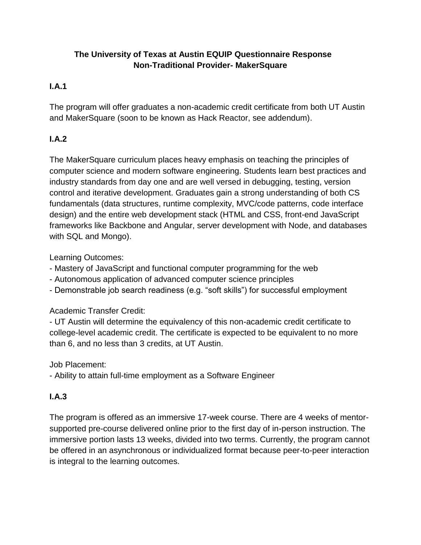### **The University of Texas at Austin EQUIP Questionnaire Response Non-Traditional Provider- MakerSquare**

## **I.A.1**

The program will offer graduates a non-academic credit certificate from both UT Austin and MakerSquare (soon to be known as Hack Reactor, see addendum).

## **I.A.2**

The MakerSquare curriculum places heavy emphasis on teaching the principles of computer science and modern software engineering. Students learn best practices and industry standards from day one and are well versed in debugging, testing, version control and iterative development. Graduates gain a strong understanding of both CS fundamentals (data structures, runtime complexity, MVC/code patterns, code interface design) and the entire web development stack (HTML and CSS, front-end JavaScript frameworks like Backbone and Angular, server development with Node, and databases with SQL and Mongo).

Learning Outcomes:

- Mastery of JavaScript and functional computer programming for the web
- Autonomous application of advanced computer science principles
- Demonstrable job search readiness (e.g. "soft skills") for successful employment

Academic Transfer Credit:

- UT Austin will determine the equivalency of this non-academic credit certificate to college-level academic credit. The certificate is expected to be equivalent to no more than 6, and no less than 3 credits, at UT Austin.

Job Placement:

- Ability to attain full-time employment as a Software Engineer

## **I.A.3**

The program is offered as an immersive 17-week course. There are 4 weeks of mentorsupported pre-course delivered online prior to the first day of in-person instruction. The immersive portion lasts 13 weeks, divided into two terms. Currently, the program cannot be offered in an asynchronous or individualized format because peer-to-peer interaction is integral to the learning outcomes.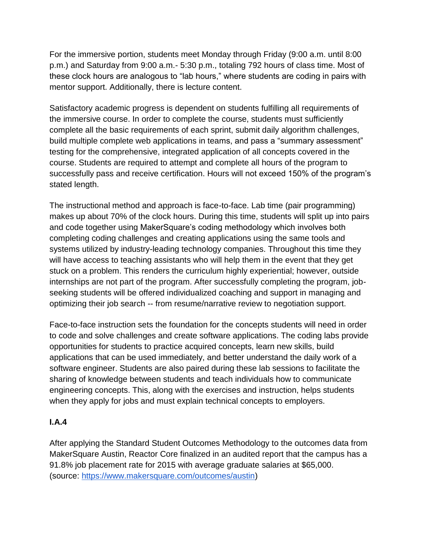For the immersive portion, students meet Monday through Friday (9:00 a.m. until 8:00 p.m.) and Saturday from 9:00 a.m.- 5:30 p.m., totaling 792 hours of class time. Most of these clock hours are analogous to "lab hours," where students are coding in pairs with mentor support. Additionally, there is lecture content.

Satisfactory academic progress is dependent on students fulfilling all requirements of the immersive course. In order to complete the course, students must sufficiently complete all the basic requirements of each sprint, submit daily algorithm challenges, build multiple complete web applications in teams, and pass a "summary assessment" testing for the comprehensive, integrated application of all concepts covered in the course. Students are required to attempt and complete all hours of the program to successfully pass and receive certification. Hours will not exceed 150% of the program's stated length.

The instructional method and approach is face-to-face. Lab time (pair programming) makes up about 70% of the clock hours. During this time, students will split up into pairs and code together using MakerSquare's coding methodology which involves both completing coding challenges and creating applications using the same tools and systems utilized by industry-leading technology companies. Throughout this time they will have access to teaching assistants who will help them in the event that they get stuck on a problem. This renders the curriculum highly experiential; however, outside internships are not part of the program. After successfully completing the program, jobseeking students will be offered individualized coaching and support in managing and optimizing their job search -- from resume/narrative review to negotiation support.

Face-to-face instruction sets the foundation for the concepts students will need in order to code and solve challenges and create software applications. The coding labs provide opportunities for students to practice acquired concepts, learn new skills, build applications that can be used immediately, and better understand the daily work of a software engineer. Students are also paired during these lab sessions to facilitate the sharing of knowledge between students and teach individuals how to communicate engineering concepts. This, along with the exercises and instruction, helps students when they apply for jobs and must explain technical concepts to employers.

### **I.A.4**

After applying the Standard Student Outcomes Methodology to the outcomes data from MakerSquare Austin, Reactor Core finalized in an audited report that the campus has a 91.8% job placement rate for 2015 with average graduate salaries at \$65,000. (source: [https://www.makersquare.com/outcomes/austin\)](https://www.makersquare.com/outcomes/austin)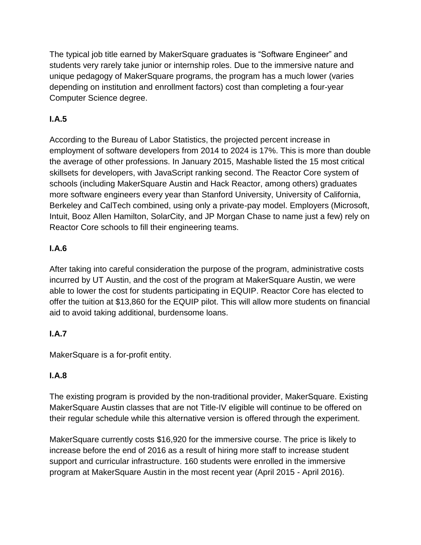The typical job title earned by MakerSquare graduates is "Software Engineer" and students very rarely take junior or internship roles. Due to the immersive nature and unique pedagogy of MakerSquare programs, the program has a much lower (varies depending on institution and enrollment factors) cost than completing a four-year Computer Science degree.

## **I.A.5**

According to the Bureau of Labor Statistics, the projected percent increase in employment of software developers from 2014 to 2024 is 17%. This is more than double the average of other professions. In January 2015, Mashable listed the 15 most critical skillsets for developers, with JavaScript ranking second. The Reactor Core system of schools (including MakerSquare Austin and Hack Reactor, among others) graduates more software engineers every year than Stanford University, University of California, Berkeley and CalTech combined, using only a private-pay model. Employers (Microsoft, Intuit, Booz Allen Hamilton, SolarCity, and JP Morgan Chase to name just a few) rely on Reactor Core schools to fill their engineering teams.

## **I.A.6**

After taking into careful consideration the purpose of the program, administrative costs incurred by UT Austin, and the cost of the program at MakerSquare Austin, we were able to lower the cost for students participating in EQUIP. Reactor Core has elected to offer the tuition at \$13,860 for the EQUIP pilot. This will allow more students on financial aid to avoid taking additional, burdensome loans.

### **I.A.7**

MakerSquare is a for-profit entity.

### **I.A.8**

The existing program is provided by the non-traditional provider, MakerSquare. Existing MakerSquare Austin classes that are not Title-IV eligible will continue to be offered on their regular schedule while this alternative version is offered through the experiment.

MakerSquare currently costs \$16,920 for the immersive course. The price is likely to increase before the end of 2016 as a result of hiring more staff to increase student support and curricular infrastructure. 160 students were enrolled in the immersive program at MakerSquare Austin in the most recent year (April 2015 - April 2016).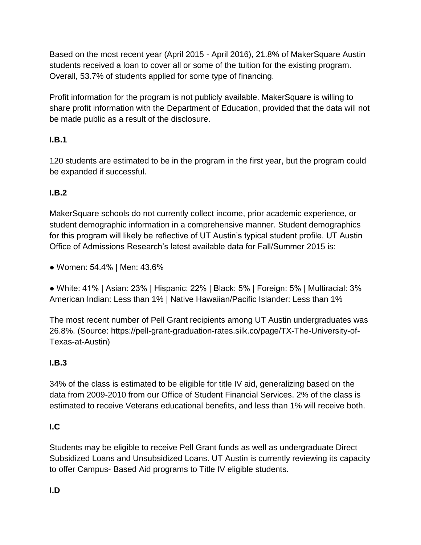Based on the most recent year (April 2015 - April 2016), 21.8% of MakerSquare Austin students received a loan to cover all or some of the tuition for the existing program. Overall, 53.7% of students applied for some type of financing.

Profit information for the program is not publicly available. MakerSquare is willing to share profit information with the Department of Education, provided that the data will not be made public as a result of the disclosure.

## **I.B.1**

120 students are estimated to be in the program in the first year, but the program could be expanded if successful.

## **I.B.2**

MakerSquare schools do not currently collect income, prior academic experience, or student demographic information in a comprehensive manner. Student demographics for this program will likely be reflective of UT Austin's typical student profile. UT Austin Office of Admissions Research's latest available data for Fall/Summer 2015 is:

● Women: 54.4% | Men: 43.6%

● White: 41% | Asian: 23% | Hispanic: 22% | Black: 5% | Foreign: 5% | Multiracial: 3% American Indian: Less than 1% | Native Hawaiian/Pacific Islander: Less than 1%

The most recent number of Pell Grant recipients among UT Austin undergraduates was 26.8%. (Source: https://pell-grant-graduation-rates.silk.co/page/TX-The-University-of-Texas-at-Austin)

### **I.B.3**

34% of the class is estimated to be eligible for title IV aid, generalizing based on the data from 2009-2010 from our Office of Student Financial Services. 2% of the class is estimated to receive Veterans educational benefits, and less than 1% will receive both.

### **I.C**

Students may be eligible to receive Pell Grant funds as well as undergraduate Direct Subsidized Loans and Unsubsidized Loans. UT Austin is currently reviewing its capacity to offer Campus- Based Aid programs to Title IV eligible students.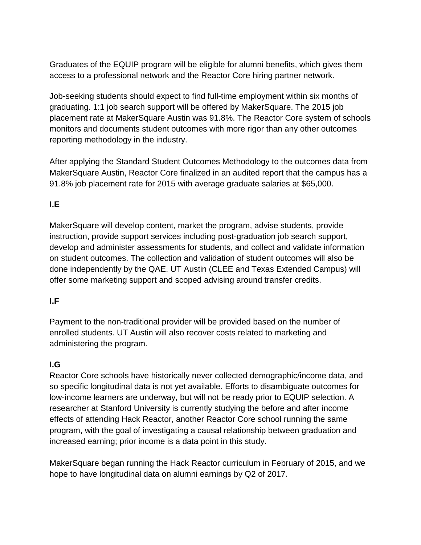Graduates of the EQUIP program will be eligible for alumni benefits, which gives them access to a professional network and the Reactor Core hiring partner network.

Job-seeking students should expect to find full-time employment within six months of graduating. 1:1 job search support will be offered by MakerSquare. The 2015 job placement rate at MakerSquare Austin was 91.8%. The Reactor Core system of schools monitors and documents student outcomes with more rigor than any other outcomes reporting methodology in the industry.

After applying the Standard Student Outcomes Methodology to the outcomes data from MakerSquare Austin, Reactor Core finalized in an audited report that the campus has a 91.8% job placement rate for 2015 with average graduate salaries at \$65,000.

## **I.E**

MakerSquare will develop content, market the program, advise students, provide instruction, provide support services including post-graduation job search support, develop and administer assessments for students, and collect and validate information on student outcomes. The collection and validation of student outcomes will also be done independently by the QAE. UT Austin (CLEE and Texas Extended Campus) will offer some marketing support and scoped advising around transfer credits.

#### **I.F**

Payment to the non-traditional provider will be provided based on the number of enrolled students. UT Austin will also recover costs related to marketing and administering the program.

#### **I.G**

Reactor Core schools have historically never collected demographic/income data, and so specific longitudinal data is not yet available. Efforts to disambiguate outcomes for low-income learners are underway, but will not be ready prior to EQUIP selection. A researcher at Stanford University is currently studying the before and after income effects of attending Hack Reactor, another Reactor Core school running the same program, with the goal of investigating a causal relationship between graduation and increased earning; prior income is a data point in this study.

MakerSquare began running the Hack Reactor curriculum in February of 2015, and we hope to have longitudinal data on alumni earnings by Q2 of 2017.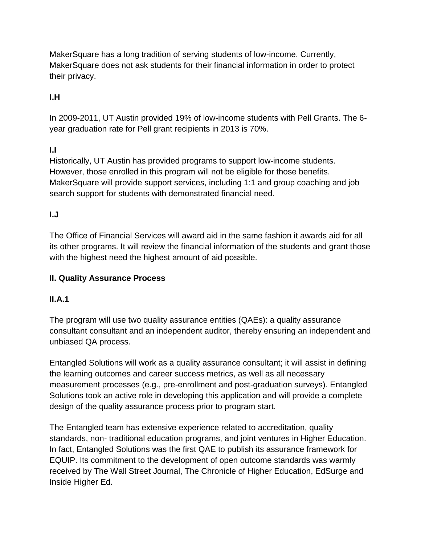MakerSquare has a long tradition of serving students of low-income. Currently, MakerSquare does not ask students for their financial information in order to protect their privacy.

## **I.H**

In 2009-2011, UT Austin provided 19% of low-income students with Pell Grants. The 6 year graduation rate for Pell grant recipients in 2013 is 70%.

**I.I**

Historically, UT Austin has provided programs to support low-income students. However, those enrolled in this program will not be eligible for those benefits. MakerSquare will provide support services, including 1:1 and group coaching and job search support for students with demonstrated financial need.

#### **I.J**

The Office of Financial Services will award aid in the same fashion it awards aid for all its other programs. It will review the financial information of the students and grant those with the highest need the highest amount of aid possible.

### **II. Quality Assurance Process**

### **II.A.1**

The program will use two quality assurance entities (QAEs): a quality assurance consultant consultant and an independent auditor, thereby ensuring an independent and unbiased QA process.

Entangled Solutions will work as a quality assurance consultant; it will assist in defining the learning outcomes and career success metrics, as well as all necessary measurement processes (e.g., pre-enrollment and post-graduation surveys). Entangled Solutions took an active role in developing this application and will provide a complete design of the quality assurance process prior to program start.

The Entangled team has extensive experience related to accreditation, quality standards, non- traditional education programs, and joint ventures in Higher Education. In fact, Entangled Solutions was the first QAE to publish its assurance framework for EQUIP. Its commitment to the development of open outcome standards was warmly received by The Wall Street Journal, The Chronicle of Higher Education, EdSurge and Inside Higher Ed.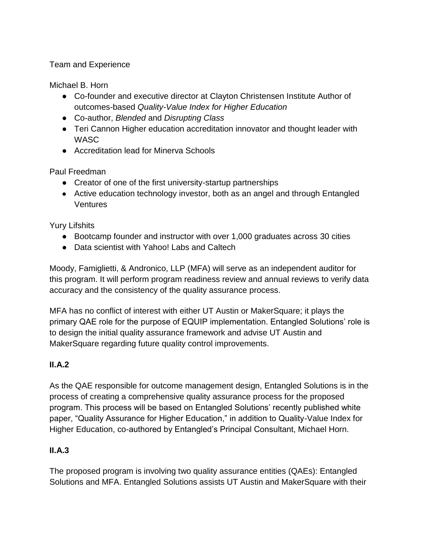#### Team and Experience

Michael B. Horn

- Co-founder and executive director at Clayton Christensen Institute Author of outcomes-based *Quality-Value Index for Higher Education*
- Co-author, *Blended* and *Disrupting Class*
- Teri Cannon Higher education accreditation innovator and thought leader with **WASC**
- Accreditation lead for Minerva Schools

Paul Freedman

- Creator of one of the first university-startup partnerships
- Active education technology investor, both as an angel and through Entangled **Ventures**

Yury Lifshits

- Bootcamp founder and instructor with over 1,000 graduates across 30 cities
- Data scientist with Yahoo! Labs and Caltech

Moody, Famiglietti, & Andronico, LLP (MFA) will serve as an independent auditor for this program. It will perform program readiness review and annual reviews to verify data accuracy and the consistency of the quality assurance process.

MFA has no conflict of interest with either UT Austin or MakerSquare; it plays the primary QAE role for the purpose of EQUIP implementation. Entangled Solutions' role is to design the initial quality assurance framework and advise UT Austin and MakerSquare regarding future quality control improvements.

## **II.A.2**

As the QAE responsible for outcome management design, Entangled Solutions is in the process of creating a comprehensive quality assurance process for the proposed program. This process will be based on Entangled Solutions' recently published white paper, "Quality Assurance for Higher Education," in addition to Quality-Value Index for Higher Education, co-authored by Entangled's Principal Consultant, Michael Horn.

## **II.A.3**

The proposed program is involving two quality assurance entities (QAEs): Entangled Solutions and MFA. Entangled Solutions assists UT Austin and MakerSquare with their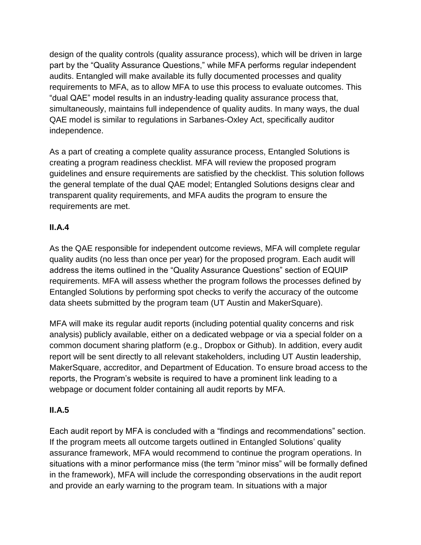design of the quality controls (quality assurance process), which will be driven in large part by the "Quality Assurance Questions," while MFA performs regular independent audits. Entangled will make available its fully documented processes and quality requirements to MFA, as to allow MFA to use this process to evaluate outcomes. This "dual QAE" model results in an industry-leading quality assurance process that, simultaneously, maintains full independence of quality audits. In many ways, the dual QAE model is similar to regulations in Sarbanes-Oxley Act, specifically auditor independence.

As a part of creating a complete quality assurance process, Entangled Solutions is creating a program readiness checklist. MFA will review the proposed program guidelines and ensure requirements are satisfied by the checklist. This solution follows the general template of the dual QAE model; Entangled Solutions designs clear and transparent quality requirements, and MFA audits the program to ensure the requirements are met.

### **II.A.4**

As the QAE responsible for independent outcome reviews, MFA will complete regular quality audits (no less than once per year) for the proposed program. Each audit will address the items outlined in the "Quality Assurance Questions" section of EQUIP requirements. MFA will assess whether the program follows the processes defined by Entangled Solutions by performing spot checks to verify the accuracy of the outcome data sheets submitted by the program team (UT Austin and MakerSquare).

MFA will make its regular audit reports (including potential quality concerns and risk analysis) publicly available, either on a dedicated webpage or via a special folder on a common document sharing platform (e.g., Dropbox or Github). In addition, every audit report will be sent directly to all relevant stakeholders, including UT Austin leadership, MakerSquare, accreditor, and Department of Education. To ensure broad access to the reports, the Program's website is required to have a prominent link leading to a webpage or document folder containing all audit reports by MFA.

### **II.A.5**

Each audit report by MFA is concluded with a "findings and recommendations" section. If the program meets all outcome targets outlined in Entangled Solutions' quality assurance framework, MFA would recommend to continue the program operations. In situations with a minor performance miss (the term "minor miss" will be formally defined in the framework), MFA will include the corresponding observations in the audit report and provide an early warning to the program team. In situations with a major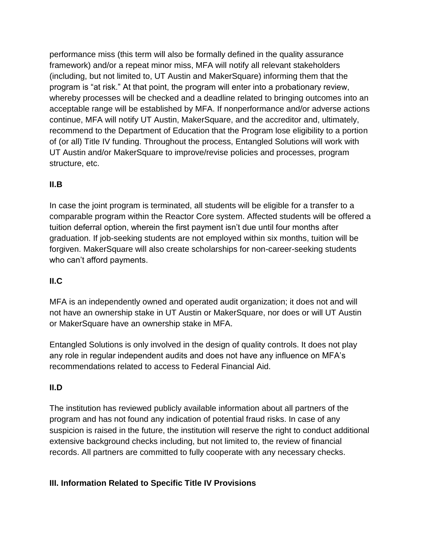performance miss (this term will also be formally defined in the quality assurance framework) and/or a repeat minor miss, MFA will notify all relevant stakeholders (including, but not limited to, UT Austin and MakerSquare) informing them that the program is "at risk." At that point, the program will enter into a probationary review, whereby processes will be checked and a deadline related to bringing outcomes into an acceptable range will be established by MFA. If nonperformance and/or adverse actions continue, MFA will notify UT Austin, MakerSquare, and the accreditor and, ultimately, recommend to the Department of Education that the Program lose eligibility to a portion of (or all) Title IV funding. Throughout the process, Entangled Solutions will work with UT Austin and/or MakerSquare to improve/revise policies and processes, program structure, etc.

## **II.B**

In case the joint program is terminated, all students will be eligible for a transfer to a comparable program within the Reactor Core system. Affected students will be offered a tuition deferral option, wherein the first payment isn't due until four months after graduation. If job-seeking students are not employed within six months, tuition will be forgiven. MakerSquare will also create scholarships for non-career-seeking students who can't afford payments.

### **II.C**

MFA is an independently owned and operated audit organization; it does not and will not have an ownership stake in UT Austin or MakerSquare, nor does or will UT Austin or MakerSquare have an ownership stake in MFA.

Entangled Solutions is only involved in the design of quality controls. It does not play any role in regular independent audits and does not have any influence on MFA's recommendations related to access to Federal Financial Aid.

### **II.D**

The institution has reviewed publicly available information about all partners of the program and has not found any indication of potential fraud risks. In case of any suspicion is raised in the future, the institution will reserve the right to conduct additional extensive background checks including, but not limited to, the review of financial records. All partners are committed to fully cooperate with any necessary checks.

### **III. Information Related to Specific Title IV Provisions**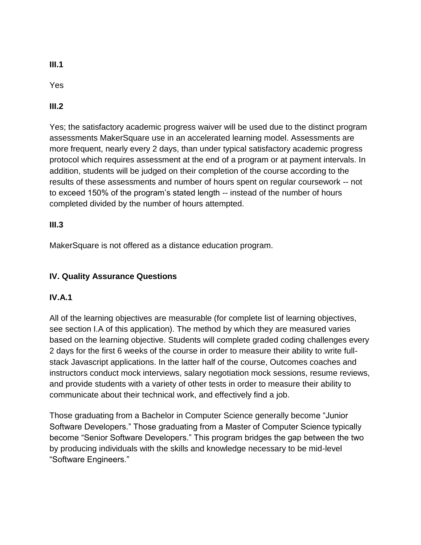**III.1**

Yes

**III.2**

Yes; the satisfactory academic progress waiver will be used due to the distinct program assessments MakerSquare use in an accelerated learning model. Assessments are more frequent, nearly every 2 days, than under typical satisfactory academic progress protocol which requires assessment at the end of a program or at payment intervals. In addition, students will be judged on their completion of the course according to the results of these assessments and number of hours spent on regular coursework -- not to exceed 150% of the program's stated length -- instead of the number of hours completed divided by the number of hours attempted.

## **III.3**

MakerSquare is not offered as a distance education program.

## **IV. Quality Assurance Questions**

## **IV.A.1**

All of the learning objectives are measurable (for complete list of learning objectives, see section I.A of this application). The method by which they are measured varies based on the learning objective. Students will complete graded coding challenges every 2 days for the first 6 weeks of the course in order to measure their ability to write fullstack Javascript applications. In the latter half of the course, Outcomes coaches and instructors conduct mock interviews, salary negotiation mock sessions, resume reviews, and provide students with a variety of other tests in order to measure their ability to communicate about their technical work, and effectively find a job.

Those graduating from a Bachelor in Computer Science generally become "Junior Software Developers." Those graduating from a Master of Computer Science typically become "Senior Software Developers." This program bridges the gap between the two by producing individuals with the skills and knowledge necessary to be mid-level "Software Engineers."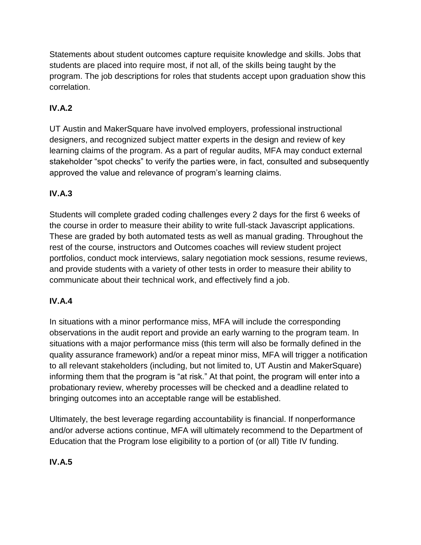Statements about student outcomes capture requisite knowledge and skills. Jobs that students are placed into require most, if not all, of the skills being taught by the program. The job descriptions for roles that students accept upon graduation show this correlation.

# **IV.A.2**

UT Austin and MakerSquare have involved employers, professional instructional designers, and recognized subject matter experts in the design and review of key learning claims of the program. As a part of regular audits, MFA may conduct external stakeholder "spot checks" to verify the parties were, in fact, consulted and subsequently approved the value and relevance of program's learning claims.

## **IV.A.3**

Students will complete graded coding challenges every 2 days for the first 6 weeks of the course in order to measure their ability to write full-stack Javascript applications. These are graded by both automated tests as well as manual grading. Throughout the rest of the course, instructors and Outcomes coaches will review student project portfolios, conduct mock interviews, salary negotiation mock sessions, resume reviews, and provide students with a variety of other tests in order to measure their ability to communicate about their technical work, and effectively find a job.

## **IV.A.4**

In situations with a minor performance miss, MFA will include the corresponding observations in the audit report and provide an early warning to the program team. In situations with a major performance miss (this term will also be formally defined in the quality assurance framework) and/or a repeat minor miss, MFA will trigger a notification to all relevant stakeholders (including, but not limited to, UT Austin and MakerSquare) informing them that the program is "at risk." At that point, the program will enter into a probationary review, whereby processes will be checked and a deadline related to bringing outcomes into an acceptable range will be established.

Ultimately, the best leverage regarding accountability is financial. If nonperformance and/or adverse actions continue, MFA will ultimately recommend to the Department of Education that the Program lose eligibility to a portion of (or all) Title IV funding.

## **IV.A.5**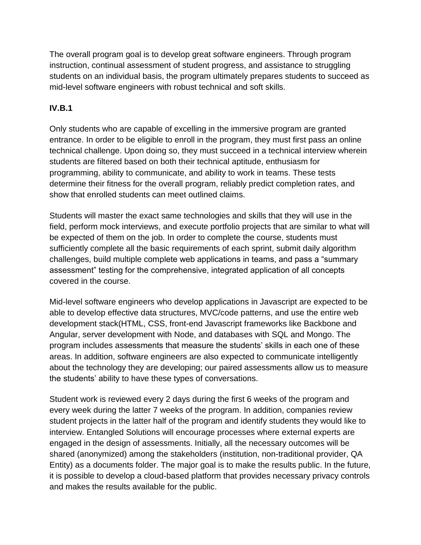The overall program goal is to develop great software engineers. Through program instruction, continual assessment of student progress, and assistance to struggling students on an individual basis, the program ultimately prepares students to succeed as mid-level software engineers with robust technical and soft skills.

## **IV.B.1**

Only students who are capable of excelling in the immersive program are granted entrance. In order to be eligible to enroll in the program, they must first pass an online technical challenge. Upon doing so, they must succeed in a technical interview wherein students are filtered based on both their technical aptitude, enthusiasm for programming, ability to communicate, and ability to work in teams. These tests determine their fitness for the overall program, reliably predict completion rates, and show that enrolled students can meet outlined claims.

Students will master the exact same technologies and skills that they will use in the field, perform mock interviews, and execute portfolio projects that are similar to what will be expected of them on the job. In order to complete the course, students must sufficiently complete all the basic requirements of each sprint, submit daily algorithm challenges, build multiple complete web applications in teams, and pass a "summary assessment" testing for the comprehensive, integrated application of all concepts covered in the course.

Mid-level software engineers who develop applications in Javascript are expected to be able to develop effective data structures, MVC/code patterns, and use the entire web development stack(HTML, CSS, front-end Javascript frameworks like Backbone and Angular, server development with Node, and databases with SQL and Mongo. The program includes assessments that measure the students' skills in each one of these areas. In addition, software engineers are also expected to communicate intelligently about the technology they are developing; our paired assessments allow us to measure the students' ability to have these types of conversations.

Student work is reviewed every 2 days during the first 6 weeks of the program and every week during the latter 7 weeks of the program. In addition, companies review student projects in the latter half of the program and identify students they would like to interview. Entangled Solutions will encourage processes where external experts are engaged in the design of assessments. Initially, all the necessary outcomes will be shared (anonymized) among the stakeholders (institution, non-traditional provider, QA Entity) as a documents folder. The major goal is to make the results public. In the future, it is possible to develop a cloud-based platform that provides necessary privacy controls and makes the results available for the public.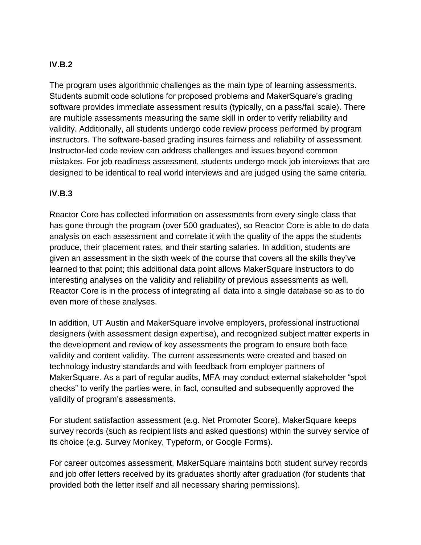#### **IV.B.2**

The program uses algorithmic challenges as the main type of learning assessments. Students submit code solutions for proposed problems and MakerSquare's grading software provides immediate assessment results (typically, on a pass/fail scale). There are multiple assessments measuring the same skill in order to verify reliability and validity. Additionally, all students undergo code review process performed by program instructors. The software-based grading insures fairness and reliability of assessment. Instructor-led code review can address challenges and issues beyond common mistakes. For job readiness assessment, students undergo mock job interviews that are designed to be identical to real world interviews and are judged using the same criteria.

#### **IV.B.3**

Reactor Core has collected information on assessments from every single class that has gone through the program (over 500 graduates), so Reactor Core is able to do data analysis on each assessment and correlate it with the quality of the apps the students produce, their placement rates, and their starting salaries. In addition, students are given an assessment in the sixth week of the course that covers all the skills they've learned to that point; this additional data point allows MakerSquare instructors to do interesting analyses on the validity and reliability of previous assessments as well. Reactor Core is in the process of integrating all data into a single database so as to do even more of these analyses.

In addition, UT Austin and MakerSquare involve employers, professional instructional designers (with assessment design expertise), and recognized subject matter experts in the development and review of key assessments the program to ensure both face validity and content validity. The current assessments were created and based on technology industry standards and with feedback from employer partners of MakerSquare. As a part of regular audits, MFA may conduct external stakeholder "spot checks" to verify the parties were, in fact, consulted and subsequently approved the validity of program's assessments.

For student satisfaction assessment (e.g. Net Promoter Score), MakerSquare keeps survey records (such as recipient lists and asked questions) within the survey service of its choice (e.g. Survey Monkey, Typeform, or Google Forms).

For career outcomes assessment, MakerSquare maintains both student survey records and job offer letters received by its graduates shortly after graduation (for students that provided both the letter itself and all necessary sharing permissions).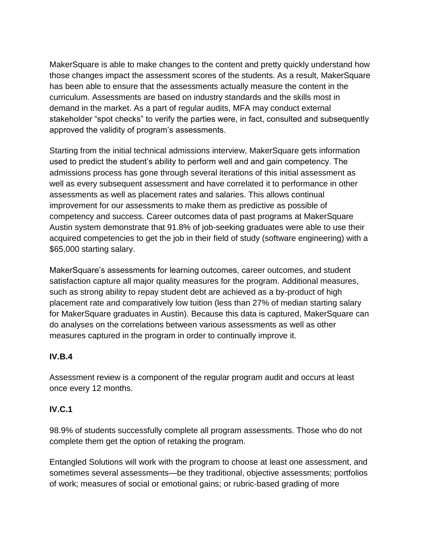MakerSquare is able to make changes to the content and pretty quickly understand how those changes impact the assessment scores of the students. As a result, MakerSquare has been able to ensure that the assessments actually measure the content in the curriculum. Assessments are based on industry standards and the skills most in demand in the market. As a part of regular audits, MFA may conduct external stakeholder "spot checks" to verify the parties were, in fact, consulted and subsequently approved the validity of program's assessments.

Starting from the initial technical admissions interview, MakerSquare gets information used to predict the student's ability to perform well and and gain competency. The admissions process has gone through several iterations of this initial assessment as well as every subsequent assessment and have correlated it to performance in other assessments as well as placement rates and salaries. This allows continual improvement for our assessments to make them as predictive as possible of competency and success. Career outcomes data of past programs at MakerSquare Austin system demonstrate that 91.8% of job-seeking graduates were able to use their acquired competencies to get the job in their field of study (software engineering) with a \$65,000 starting salary.

MakerSquare's assessments for learning outcomes, career outcomes, and student satisfaction capture all major quality measures for the program. Additional measures, such as strong ability to repay student debt are achieved as a by-product of high placement rate and comparatively low tuition (less than 27% of median starting salary for MakerSquare graduates in Austin). Because this data is captured, MakerSquare can do analyses on the correlations between various assessments as well as other measures captured in the program in order to continually improve it.

### **IV.B.4**

Assessment review is a component of the regular program audit and occurs at least once every 12 months.

#### **IV.C.1**

98.9% of students successfully complete all program assessments. Those who do not complete them get the option of retaking the program.

Entangled Solutions will work with the program to choose at least one assessment, and sometimes several assessments—be they traditional, objective assessments; portfolios of work; measures of social or emotional gains; or rubric-based grading of more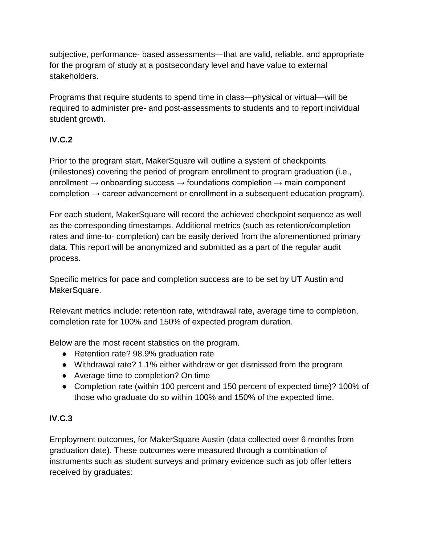subjective, performance- based assessments—that are valid, reliable, and appropriate for the program of study at a postsecondary level and have value to external stakeholders.

Programs that require students to spend time in class—physical or virtual—will be required to administer pre- and post-assessments to students and to report individual student growth.

## **IV.C.2**

Prior to the program start, MakerSquare will outline a system of checkpoints (milestones) covering the period of program enrollment to program graduation (i.e., enrollment  $\rightarrow$  onboarding success  $\rightarrow$  foundations completion  $\rightarrow$  main component completion  $\rightarrow$  career advancement or enrollment in a subsequent education program).

For each student, MakerSquare will record the achieved checkpoint sequence as well as the corresponding timestamps. Additional metrics (such as retention/completion rates and time-to- completion) can be easily derived from the aforementioned primary data. This report will be anonymized and submitted as a part of the regular audit process.

Specific metrics for pace and completion success are to be set by UT Austin and MakerSquare.

Relevant metrics include: retention rate, withdrawal rate, average time to completion, completion rate for 100% and 150% of expected program duration.

Below are the most recent statistics on the program.

- Retention rate? 98.9% graduation rate
- Withdrawal rate? 1.1% either withdraw or get dismissed from the program
- Average time to completion? On time
- Completion rate (within 100 percent and 150 percent of expected time)? 100% of those who graduate do so within 100% and 150% of the expected time.

### **IV.C.3**

Employment outcomes, for MakerSquare Austin (data collected over 6 months from graduation date). These outcomes were measured through a combination of instruments such as student surveys and primary evidence such as job offer letters received by graduates: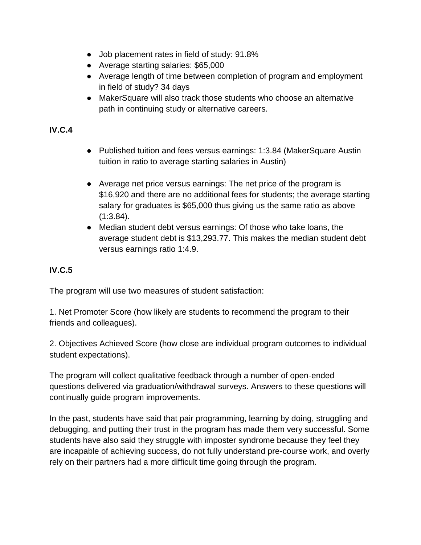- Job placement rates in field of study: 91.8%
- Average starting salaries: \$65,000
- Average length of time between completion of program and employment in field of study? 34 days
- MakerSquare will also track those students who choose an alternative path in continuing study or alternative careers.

## **IV.C.4**

- Published tuition and fees versus earnings: 1:3.84 (MakerSquare Austin tuition in ratio to average starting salaries in Austin)
- Average net price versus earnings: The net price of the program is \$16,920 and there are no additional fees for students; the average starting salary for graduates is \$65,000 thus giving us the same ratio as above  $(1:3.84)$ .
- Median student debt versus earnings: Of those who take loans, the average student debt is \$13,293.77. This makes the median student debt versus earnings ratio 1:4.9.

## **IV.C.5**

The program will use two measures of student satisfaction:

1. Net Promoter Score (how likely are students to recommend the program to their friends and colleagues).

2. Objectives Achieved Score (how close are individual program outcomes to individual student expectations).

The program will collect qualitative feedback through a number of open-ended questions delivered via graduation/withdrawal surveys. Answers to these questions will continually guide program improvements.

In the past, students have said that pair programming, learning by doing, struggling and debugging, and putting their trust in the program has made them very successful. Some students have also said they struggle with imposter syndrome because they feel they are incapable of achieving success, do not fully understand pre-course work, and overly rely on their partners had a more difficult time going through the program.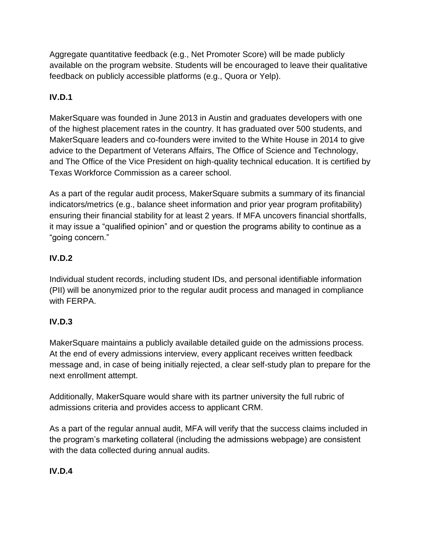Aggregate quantitative feedback (e.g., Net Promoter Score) will be made publicly available on the program website. Students will be encouraged to leave their qualitative feedback on publicly accessible platforms (e.g., Quora or Yelp).

## **IV.D.1**

MakerSquare was founded in June 2013 in Austin and graduates developers with one of the highest placement rates in the country. It has graduated over 500 students, and MakerSquare leaders and co-founders were invited to the White House in 2014 to give advice to the Department of Veterans Affairs, The Office of Science and Technology, and The Office of the Vice President on high-quality technical education. It is certified by Texas Workforce Commission as a career school.

As a part of the regular audit process, MakerSquare submits a summary of its financial indicators/metrics (e.g., balance sheet information and prior year program profitability) ensuring their financial stability for at least 2 years. If MFA uncovers financial shortfalls, it may issue a "qualified opinion" and or question the programs ability to continue as a "going concern."

## **IV.D.2**

Individual student records, including student IDs, and personal identifiable information (PII) will be anonymized prior to the regular audit process and managed in compliance with FERPA.

# **IV.D.3**

MakerSquare maintains a publicly available detailed guide on the admissions process. At the end of every admissions interview, every applicant receives written feedback message and, in case of being initially rejected, a clear self-study plan to prepare for the next enrollment attempt.

Additionally, MakerSquare would share with its partner university the full rubric of admissions criteria and provides access to applicant CRM.

As a part of the regular annual audit, MFA will verify that the success claims included in the program's marketing collateral (including the admissions webpage) are consistent with the data collected during annual audits.

# **IV.D.4**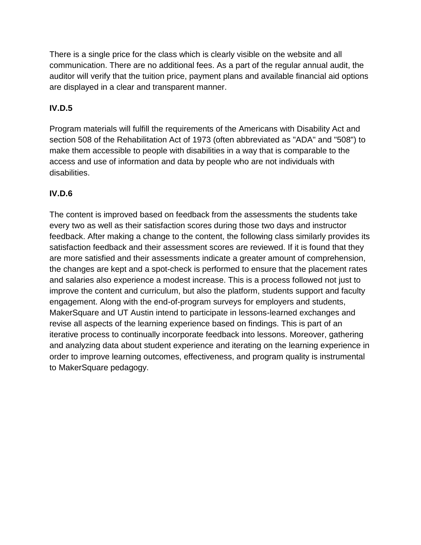There is a single price for the class which is clearly visible on the website and all communication. There are no additional fees. As a part of the regular annual audit, the auditor will verify that the tuition price, payment plans and available financial aid options are displayed in a clear and transparent manner.

## **IV.D.5**

Program materials will fulfill the requirements of the Americans with Disability Act and section 508 of the Rehabilitation Act of 1973 (often abbreviated as "ADA" and "508") to make them accessible to people with disabilities in a way that is comparable to the access and use of information and data by people who are not individuals with disabilities.

## **IV.D.6**

The content is improved based on feedback from the assessments the students take every two as well as their satisfaction scores during those two days and instructor feedback. After making a change to the content, the following class similarly provides its satisfaction feedback and their assessment scores are reviewed. If it is found that they are more satisfied and their assessments indicate a greater amount of comprehension, the changes are kept and a spot-check is performed to ensure that the placement rates and salaries also experience a modest increase. This is a process followed not just to improve the content and curriculum, but also the platform, students support and faculty engagement. Along with the end-of-program surveys for employers and students, MakerSquare and UT Austin intend to participate in lessons-learned exchanges and revise all aspects of the learning experience based on findings. This is part of an iterative process to continually incorporate feedback into lessons. Moreover, gathering and analyzing data about student experience and iterating on the learning experience in order to improve learning outcomes, effectiveness, and program quality is instrumental to MakerSquare pedagogy.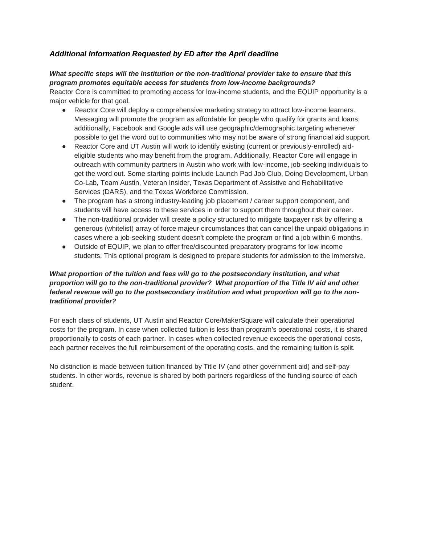#### *Additional Information Requested by ED after the April deadline*

#### *What specific steps will the institution or the non-traditional provider take to ensure that this program promotes equitable access for students from low-income backgrounds?*

Reactor Core is committed to promoting access for low-income students, and the EQUIP opportunity is a major vehicle for that goal.

- Reactor Core will deploy a comprehensive marketing strategy to attract low-income learners. Messaging will promote the program as affordable for people who qualify for grants and loans; additionally, Facebook and Google ads will use geographic/demographic targeting whenever possible to get the word out to communities who may not be aware of strong financial aid support.
- Reactor Core and UT Austin will work to identify existing (current or previously-enrolled) aideligible students who may benefit from the program. Additionally, Reactor Core will engage in outreach with community partners in Austin who work with low-income, job-seeking individuals to get the word out. Some starting points include Launch Pad Job Club, Doing Development, Urban Co-Lab, Team Austin, Veteran Insider, Texas Department of Assistive and Rehabilitative Services (DARS), and the Texas Workforce Commission.
- The program has a strong industry-leading job placement / career support component, and students will have access to these services in order to support them throughout their career.
- The non-traditional provider will create a policy structured to mitigate taxpayer risk by offering a generous (whitelist) array of force majeur circumstances that can cancel the unpaid obligations in cases where a job-seeking student doesn't complete the program or find a job within 6 months.
- Outside of EQUIP, we plan to offer free/discounted preparatory programs for low income students. This optional program is designed to prepare students for admission to the immersive.

#### *What proportion of the tuition and fees will go to the postsecondary institution, and what proportion will go to the non-traditional provider? What proportion of the Title IV aid and other federal revenue will go to the postsecondary institution and what proportion will go to the nontraditional provider?*

For each class of students, UT Austin and Reactor Core/MakerSquare will calculate their operational costs for the program. In case when collected tuition is less than program's operational costs, it is shared proportionally to costs of each partner. In cases when collected revenue exceeds the operational costs, each partner receives the full reimbursement of the operating costs, and the remaining tuition is split.

No distinction is made between tuition financed by Title IV (and other government aid) and self-pay students. In other words, revenue is shared by both partners regardless of the funding source of each student.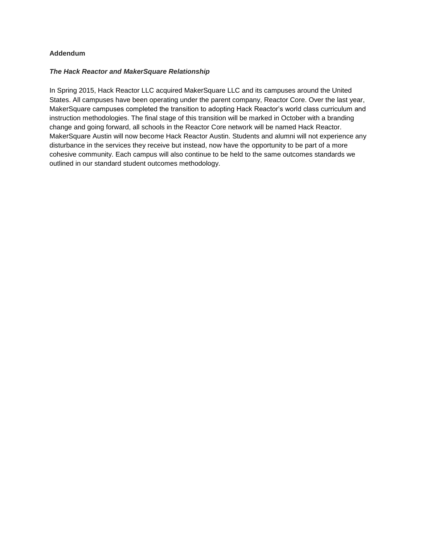#### **Addendum**

#### *The Hack Reactor and MakerSquare Relationship*

In Spring 2015, Hack Reactor LLC acquired MakerSquare LLC and its campuses around the United States. All campuses have been operating under the parent company, Reactor Core. Over the last year, MakerSquare campuses completed the transition to adopting Hack Reactor's world class curriculum and instruction methodologies. The final stage of this transition will be marked in October with a branding change and going forward, all schools in the Reactor Core network will be named Hack Reactor. MakerSquare Austin will now become Hack Reactor Austin. Students and alumni will not experience any disturbance in the services they receive but instead, now have the opportunity to be part of a more cohesive community. Each campus will also continue to be held to the same outcomes standards we outlined in our standard student outcomes methodology.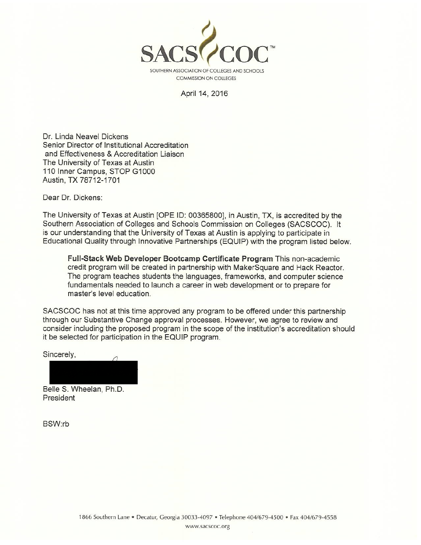

April 14, 2016

Dr. Linda Neavel Dickens Senior Director of Institutional Accreditation and Effectiveness & Accreditation Liaison The University of Texas at Austin 110 Inner Campus, STOP G1000 Austin, TX 78712-1701

Dear Dr. Dickens:

The University of Texas at Austin [OPE ID: 00365800], in Austin, TX, is accredited by the Southern Association of Colleges and Schools Commission on Colleges (SACSCOC). It is our understanding that the University of Texas at Austin is applying to participate in Educational Quality through Innovative Partnerships (EQUIP) with the program listed below.

Full-Stack Web Developer Bootcamp Certificate Program This non-academic credit program will be created in partnership with MakerSquare and Hack Reactor. The program teaches students the languages, frameworks, and computer science fundamentals needed to launch a career in web development or to prepare for master's level education.

SACSCOC has not at this time approved any program to be offered under this partnership through our Substantive Change approval processes. However, we agree to review and consider including the proposed program in the scope of the institution's accreditation should it be selected for participation in the EQUIP program.

Sincerely,

Belle S. Wheelan, Ph.D. President

BSW:rb